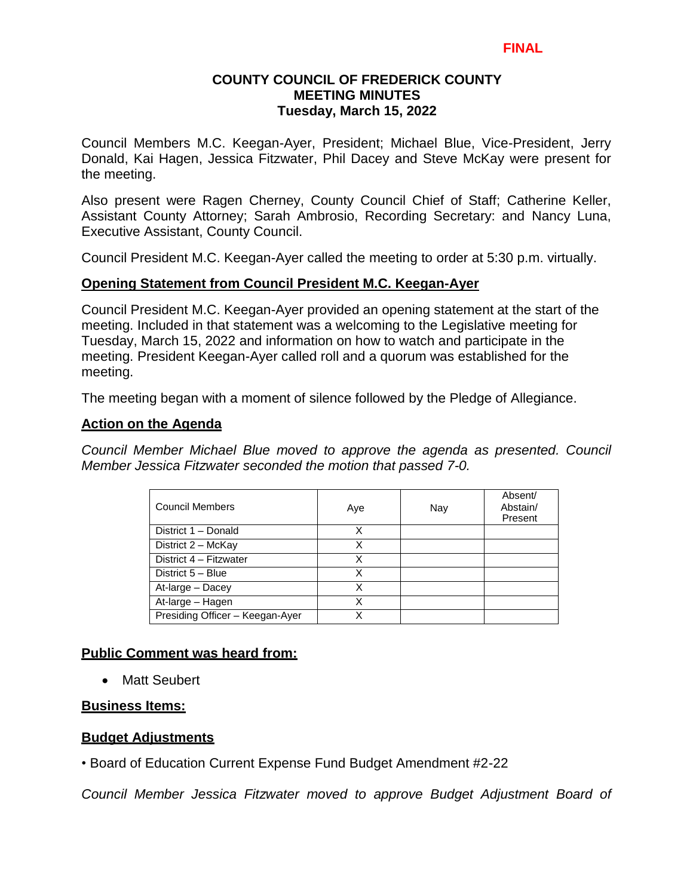Council Members M.C. Keegan-Ayer, President; Michael Blue, Vice-President, Jerry Donald, Kai Hagen, Jessica Fitzwater, Phil Dacey and Steve McKay were present for the meeting.

Also present were Ragen Cherney, County Council Chief of Staff; Catherine Keller, Assistant County Attorney; Sarah Ambrosio, Recording Secretary: and Nancy Luna, Executive Assistant, County Council.

Council President M.C. Keegan-Ayer called the meeting to order at 5:30 p.m. virtually.

### **Opening Statement from Council President M.C. Keegan-Ayer**

Council President M.C. Keegan-Ayer provided an opening statement at the start of the meeting. Included in that statement was a welcoming to the Legislative meeting for Tuesday, March 15, 2022 and information on how to watch and participate in the meeting. President Keegan-Ayer called roll and a quorum was established for the meeting.

The meeting began with a moment of silence followed by the Pledge of Allegiance.

### **Action on the Agenda**

*Council Member Michael Blue moved to approve the agenda as presented. Council Member Jessica Fitzwater seconded the motion that passed 7-0.*

| <b>Council Members</b>          | Aye | Nay | Absent/<br>Abstain/<br>Present |
|---------------------------------|-----|-----|--------------------------------|
| District 1 - Donald             | x   |     |                                |
| District 2 - McKay              | x   |     |                                |
| District 4 - Fitzwater          | Χ   |     |                                |
| District 5 - Blue               | X   |     |                                |
| At-large - Dacey                | x   |     |                                |
| At-large - Hagen                |     |     |                                |
| Presiding Officer - Keegan-Ayer | x   |     |                                |

### **Public Comment was heard from:**

• Matt Seubert

### **Business Items:**

### **Budget Adjustments**

• Board of Education Current Expense Fund Budget Amendment #2-22

*Council Member Jessica Fitzwater moved to approve Budget Adjustment Board of*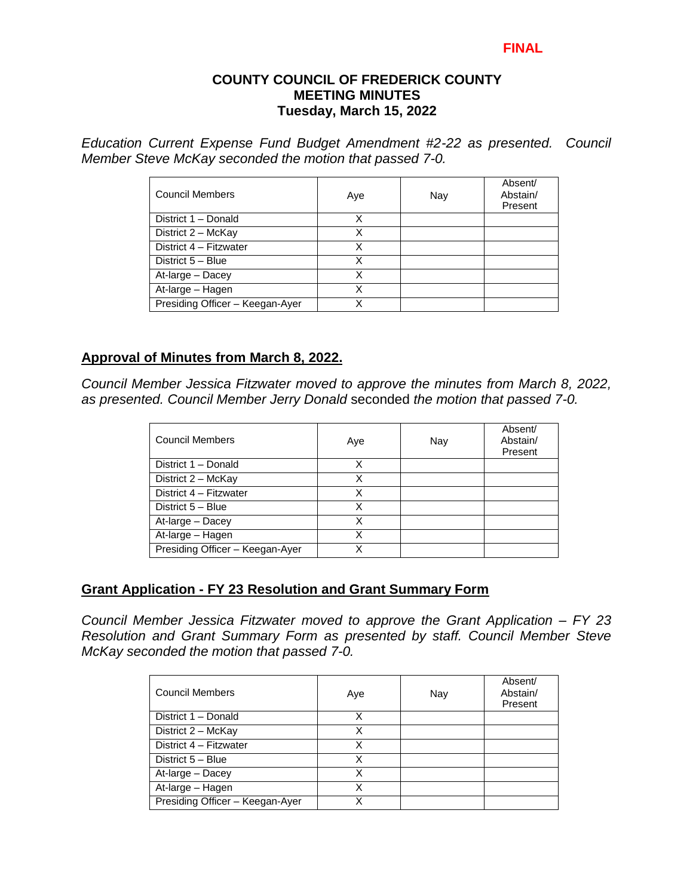#### **FINAL**

#### **COUNTY COUNCIL OF FREDERICK COUNTY MEETING MINUTES Tuesday, March 15, 2022**

*Education Current Expense Fund Budget Amendment #2-22 as presented. Council Member Steve McKay seconded the motion that passed 7-0.*

| <b>Council Members</b>          | Aye | Nay | Absent/<br>Abstain/<br>Present |
|---------------------------------|-----|-----|--------------------------------|
| District 1 - Donald             | х   |     |                                |
| District 2 - McKay              | Χ   |     |                                |
| District 4 - Fitzwater          | x   |     |                                |
| District 5 - Blue               | Χ   |     |                                |
| At-large - Dacey                | χ   |     |                                |
| At-large - Hagen                | Χ   |     |                                |
| Presiding Officer - Keegan-Ayer | Χ   |     |                                |

### **Approval of Minutes from March 8, 2022.**

*Council Member Jessica Fitzwater moved to approve the minutes from March 8, 2022, as presented. Council Member Jerry Donald* seconded *the motion that passed 7-0.* 

| <b>Council Members</b>          | Aye | Nay | Absent/<br>Abstain/<br>Present |
|---------------------------------|-----|-----|--------------------------------|
| District 1 - Donald             | x   |     |                                |
| District 2 - McKay              | Χ   |     |                                |
| District 4 - Fitzwater          | X   |     |                                |
| District 5 - Blue               | X   |     |                                |
| At-large - Dacey                | X   |     |                                |
| At-large - Hagen                | x   |     |                                |
| Presiding Officer - Keegan-Ayer |     |     |                                |

#### **Grant Application - FY 23 Resolution and Grant Summary Form**

*Council Member Jessica Fitzwater moved to approve the Grant Application – FY 23 Resolution and Grant Summary Form as presented by staff. Council Member Steve McKay seconded the motion that passed 7-0.* 

| <b>Council Members</b>          | Aye | Nay | Absent/<br>Abstain/<br>Present |
|---------------------------------|-----|-----|--------------------------------|
| District 1 - Donald             | Χ   |     |                                |
| District 2 - McKay              | X   |     |                                |
| District 4 - Fitzwater          | x   |     |                                |
| District 5 - Blue               | Χ   |     |                                |
| At-large - Dacey                | Χ   |     |                                |
| At-large - Hagen                | x   |     |                                |
| Presiding Officer - Keegan-Ayer | x   |     |                                |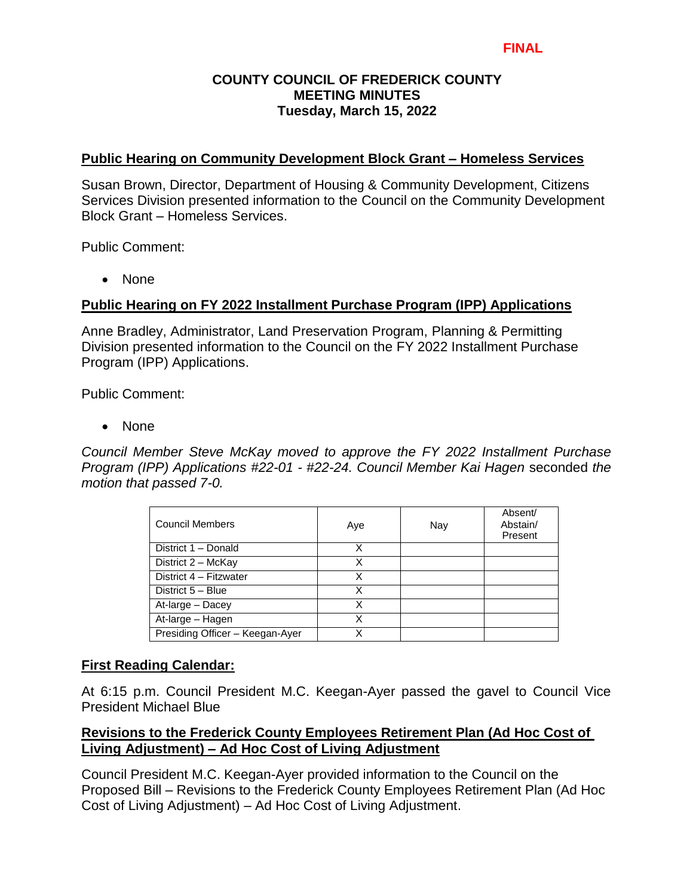### **Public Hearing on Community Development Block Grant – Homeless Services**

Susan Brown, Director, Department of Housing & Community Development, Citizens Services Division presented information to the Council on the Community Development Block Grant – Homeless Services.

Public Comment:

• None

### **Public Hearing on FY 2022 Installment Purchase Program (IPP) Applications**

Anne Bradley, Administrator, Land Preservation Program, Planning & Permitting Division presented information to the Council on the FY 2022 Installment Purchase Program (IPP) Applications.

Public Comment:

• None

*Council Member Steve McKay moved to approve the FY 2022 Installment Purchase Program (IPP) Applications #22-01 - #22-24. Council Member Kai Hagen* seconded *the motion that passed 7-0.* 

| <b>Council Members</b>          | Aye | Nay | Absent/<br>Abstain/<br>Present |
|---------------------------------|-----|-----|--------------------------------|
| District 1 - Donald             | х   |     |                                |
| District 2 - McKay              | X   |     |                                |
| District 4 - Fitzwater          | X   |     |                                |
| District 5 - Blue               | X   |     |                                |
| At-large - Dacey                | X   |     |                                |
| At-large - Hagen                | X   |     |                                |
| Presiding Officer - Keegan-Ayer |     |     |                                |

### **First Reading Calendar:**

At 6:15 p.m. Council President M.C. Keegan-Ayer passed the gavel to Council Vice President Michael Blue

## **Revisions to the Frederick County Employees Retirement Plan (Ad Hoc Cost of Living Adjustment) – Ad Hoc Cost of Living Adjustment**

Council President M.C. Keegan-Ayer provided information to the Council on the Proposed Bill – Revisions to the Frederick County Employees Retirement Plan (Ad Hoc Cost of Living Adjustment) – Ad Hoc Cost of Living Adjustment.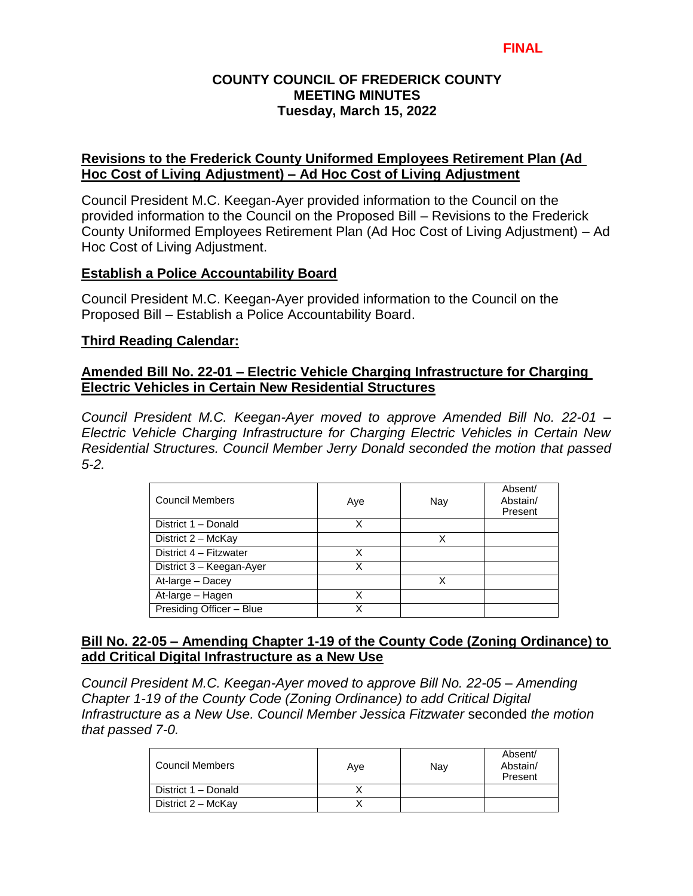### **Revisions to the Frederick County Uniformed Employees Retirement Plan (Ad Hoc Cost of Living Adjustment) – Ad Hoc Cost of Living Adjustment**

Council President M.C. Keegan-Ayer provided information to the Council on the provided information to the Council on the Proposed Bill – Revisions to the Frederick County Uniformed Employees Retirement Plan (Ad Hoc Cost of Living Adjustment) – Ad Hoc Cost of Living Adjustment.

### **Establish a Police Accountability Board**

Council President M.C. Keegan-Ayer provided information to the Council on the Proposed Bill – Establish a Police Accountability Board.

### **Third Reading Calendar:**

### **Amended Bill No. 22-01 – Electric Vehicle Charging Infrastructure for Charging Electric Vehicles in Certain New Residential Structures**

*Council President M.C. Keegan-Ayer moved to approve Amended Bill No. 22-01 – Electric Vehicle Charging Infrastructure for Charging Electric Vehicles in Certain New Residential Structures. Council Member Jerry Donald seconded the motion that passed 5-2.*

| <b>Council Members</b>   | Aye | Nay | Absent/<br>Abstain/<br>Present |
|--------------------------|-----|-----|--------------------------------|
| District 1 - Donald      | х   |     |                                |
| District 2 - McKay       |     | x   |                                |
| District 4 - Fitzwater   |     |     |                                |
| District 3 - Keegan-Ayer | х   |     |                                |
| At-large - Dacey         |     | x   |                                |
| At-large - Hagen         |     |     |                                |
| Presiding Officer - Blue | x   |     |                                |

## **Bill No. 22-05 – Amending Chapter 1-19 of the County Code (Zoning Ordinance) to add Critical Digital Infrastructure as a New Use**

*Council President M.C. Keegan-Ayer moved to approve Bill No. 22-05 – Amending Chapter 1-19 of the County Code (Zoning Ordinance) to add Critical Digital Infrastructure as a New Use. Council Member Jessica Fitzwater* seconded *the motion that passed 7-0.* 

| Council Members     | Ave | Nav | Absent/<br>Abstain/<br>Present |
|---------------------|-----|-----|--------------------------------|
| District 1 – Donald |     |     |                                |
| District 2 - McKay  |     |     |                                |